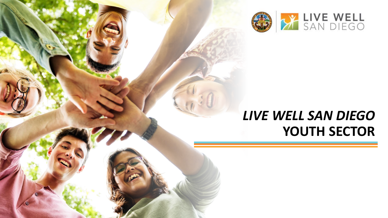

## *LIVE WELL SAN DIEGO*  **YOUTH SECTOR**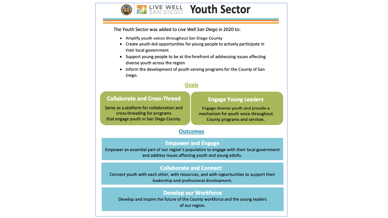

The Youth Sector was added to Live Well San Diego in 2020 to:

- Amplify youth voices throughout San Diego County
- Create youth-led opportunities for young people to actively participate in their local government
- Support young people to be at the forefront of addressing issues affecting diverse youth across the region
- Inform the development of youth-serving programs for the County of San Diego.

#### **Goals**

#### **Collaborate and Cross-Thread**

#### **Engage Young Leaders**

Serve as a platform for collaboration and cross-threading for programs that engage youth in San Diego County.

Engage diverse youth and provide a mechanism for youth voice throughout County programs and services.

#### **Outcomes**

#### **Empower and Engage**

Empower an essential part of our region's population to engage with their local government and address issues affecting youth and young adults.

#### **Collaborate and Connect**

Connect youth with each other, with resources, and with opportunities to support their leadership and professional development.

#### **Develop our Workforce**

Develop and inspire the future of the County workforce and the young leaders of our region.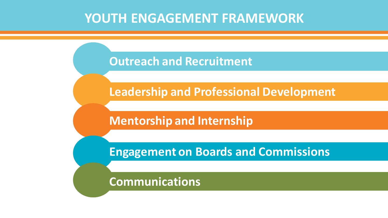### **YOUTH ENGAGEMENT FRAMEWORK**

**Outreach and Recruitment**

**Leadership and Professional Development** 

**Mentorship and Internship**

**Engagement on Boards and Commissions**

**Communications**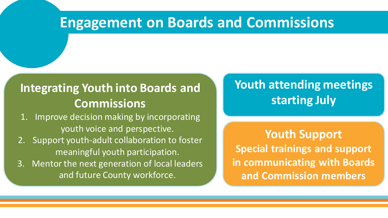### **Integrating Youth into Boards and Commissions**

1. Improve decision making by incorporating youth voice and perspective.

- 2. Support youth-adult collaboration to foster meaningful youth participation.
- 3. Mentor the next generation of local leaders and future County workforce.

### **Youth attending meetings starting July**

**Youth Support Special trainings and support in communicating with Boards and Commission members**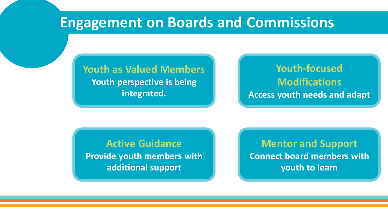#### **Youth as Valued Members Youth perspective is being integrated.**

#### **Youth-focused Modifications Access youth needs and adapt**

#### **Active Guidance Provide youth members with additional support**

**Mentor and Support Connect board members with youth to learn**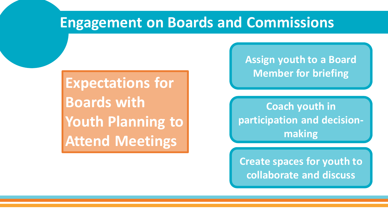**Expectations for Boards with Youth Planning to Attend Meetings**

**Assign youth to a Board Member for briefing** 

**Coach youth in participation and decisionmaking**

**Create spaces for youth to collaborate and discuss**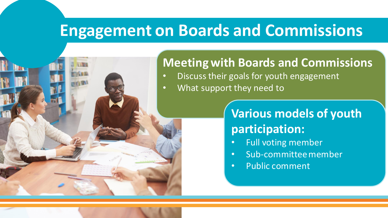#### **Meeting with Boards and Commissions**

- Discuss their goals for youth engagement
- What support they need to

### **Various models of youth participation:**

- Full voting member
- Sub-committee member
- Public comment